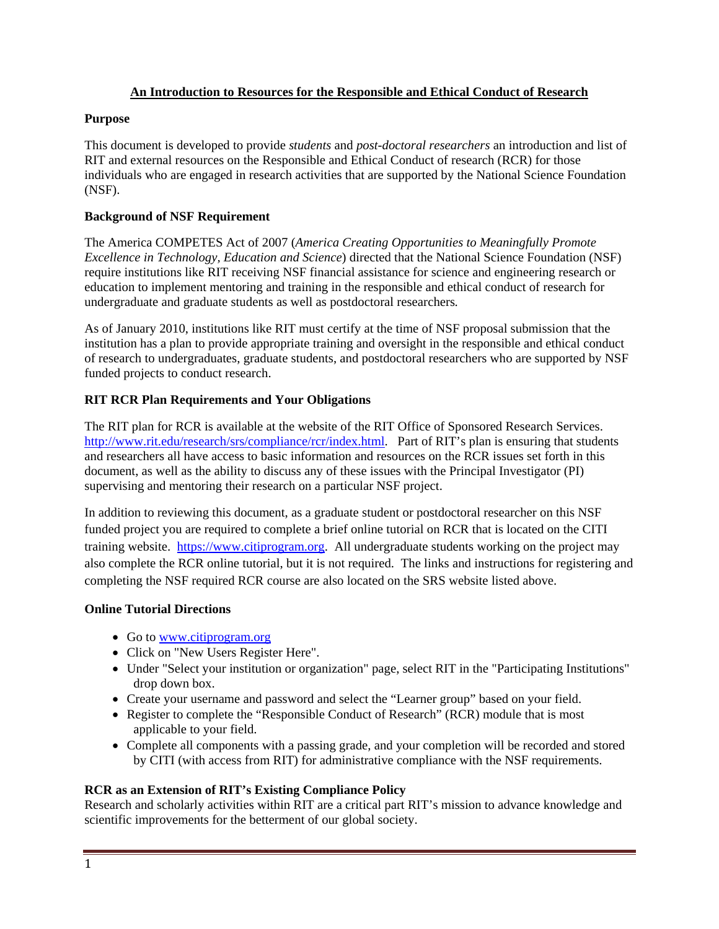#### **An Introduction to Resources for the Responsible and Ethical Conduct of Research**

#### **Purpose**

This document is developed to provide *students* and *post-doctoral researchers* an introduction and list of RIT and external resources on the Responsible and Ethical Conduct of research (RCR) for those individuals who are engaged in research activities that are supported by the National Science Foundation (NSF).

#### **Background of NSF Requirement**

The America COMPETES Act of 2007 (*America Creating Opportunities to Meaningfully Promote Excellence in Technology, Education and Science*) directed that the National Science Foundation (NSF) require institutions like RIT receiving NSF financial assistance for science and engineering research or education to implement mentoring and training in the responsible and ethical conduct of research for undergraduate and graduate students as well as postdoctoral researchers*.* 

As of January 2010, institutions like RIT must certify at the time of NSF proposal submission that the institution has a plan to provide appropriate training and oversight in the responsible and ethical conduct of research to undergraduates, graduate students, and postdoctoral researchers who are supported by NSF funded projects to conduct research.

# **RIT RCR Plan Requirements and Your Obligations**

The RIT plan for RCR is available at the website of the RIT Office of Sponsored Research Services. http://www.rit.edu/research/srs/compliance/rcr/index.html. Part of RIT's plan is ensuring that students and researchers all have access to basic information and resources on the RCR issues set forth in this document, as well as the ability to discuss any of these issues with the Principal Investigator (PI) supervising and mentoring their research on a particular NSF project.

In addition to reviewing this document, as a graduate student or postdoctoral researcher on this NSF funded project you are required to complete a brief online tutorial on RCR that is located on the CITI training website. https://www.citiprogram.org. All undergraduate students working on the project may also complete the RCR online tutorial, but it is not required. The links and instructions for registering and completing the NSF required RCR course are also located on the SRS website listed above.

#### **Online Tutorial Directions**

- Go to www.citiprogram.org
- Click on "New Users Register Here".
- Under "Select your institution or organization" page, select RIT in the "Participating Institutions" drop down box.
- Create your username and password and select the "Learner group" based on your field.
- Register to complete the "Responsible Conduct of Research" (RCR) module that is most applicable to your field.
- Complete all components with a passing grade, and your completion will be recorded and stored by CITI (with access from RIT) for administrative compliance with the NSF requirements.

# **RCR as an Extension of RIT's Existing Compliance Policy**

Research and scholarly activities within RIT are a critical part RIT's mission to advance knowledge and scientific improvements for the betterment of our global society.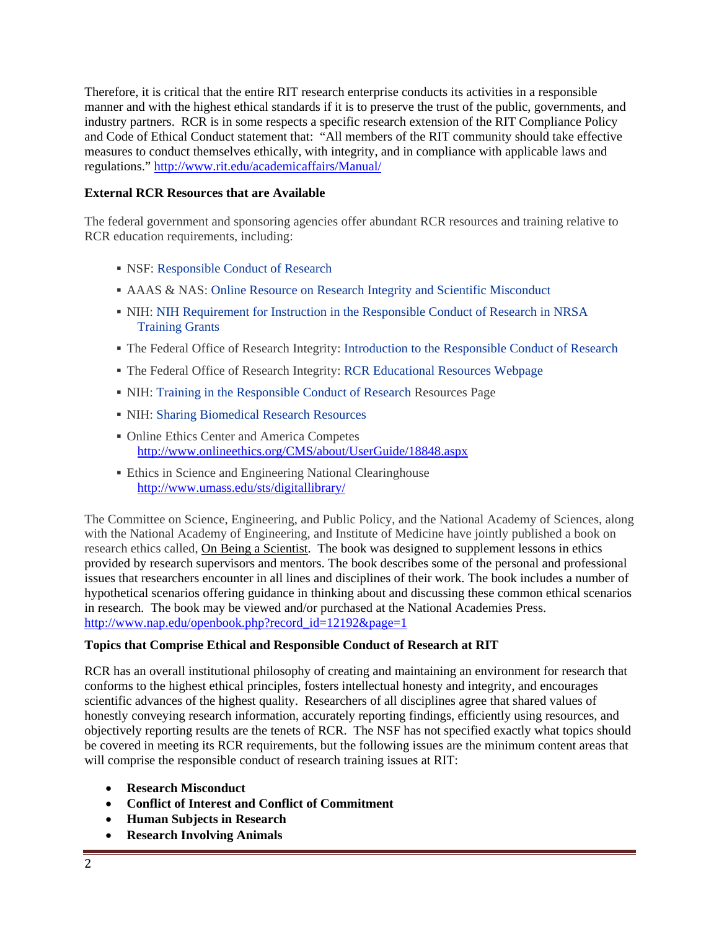Therefore, it is critical that the entire RIT research enterprise conducts its activities in a responsible manner and with the highest ethical standards if it is to preserve the trust of the public, governments, and industry partners. RCR is in some respects a specific research extension of the RIT Compliance Policy and Code of Ethical Conduct statement that: "All members of the RIT community should take effective measures to conduct themselves ethically, with integrity, and in compliance with applicable laws and regulations." http://www.rit.edu/academicaffairs/Manual/

#### **External RCR Resources that are Available**

The federal government and sponsoring agencies offer abundant RCR resources and training relative to RCR education requirements, including:

- NSF: Responsible Conduct of Research
- AAAS & NAS: Online Resource on Research Integrity and Scientific Misconduct
- NIH: NIH Requirement for Instruction in the Responsible Conduct of Research in NRSA Training Grants
- The Federal Office of Research Integrity: Introduction to the Responsible Conduct of Research
- The Federal Office of Research Integrity: RCR Educational Resources Webpage
- NIH: Training in the Responsible Conduct of Research Resources Page
- NIH: Sharing Biomedical Research Resources
- Online Ethics Center and America Competes http://www.onlineethics.org/CMS/about/UserGuide/18848.aspx
- Ethics in Science and Engineering National Clearinghouse http://www.umass.edu/sts/digitallibrary/

The Committee on Science, Engineering, and Public Policy, and the National Academy of Sciences, along with the National Academy of Engineering, and Institute of Medicine have jointly published a book on research ethics called, On Being a Scientist. The book was designed to supplement lessons in ethics provided by research supervisors and mentors. The book describes some of the personal and professional issues that researchers encounter in all lines and disciplines of their work. The book includes a number of hypothetical scenarios offering guidance in thinking about and discussing these common ethical scenarios in research. The book may be viewed and/or purchased at the National Academies Press. http://www.nap.edu/openbook.php?record\_id=12192&page=1

#### **Topics that Comprise Ethical and Responsible Conduct of Research at RIT**

RCR has an overall institutional philosophy of creating and maintaining an environment for research that conforms to the highest ethical principles, fosters intellectual honesty and integrity, and encourages scientific advances of the highest quality. Researchers of all disciplines agree that shared values of honestly conveying research information, accurately reporting findings, efficiently using resources, and objectively reporting results are the tenets of RCR. The NSF has not specified exactly what topics should be covered in meeting its RCR requirements, but the following issues are the minimum content areas that will comprise the responsible conduct of research training issues at RIT:

- **Research Misconduct**
- **Conflict of Interest and Conflict of Commitment**
- **Human Subjects in Research**
- **Research Involving Animals**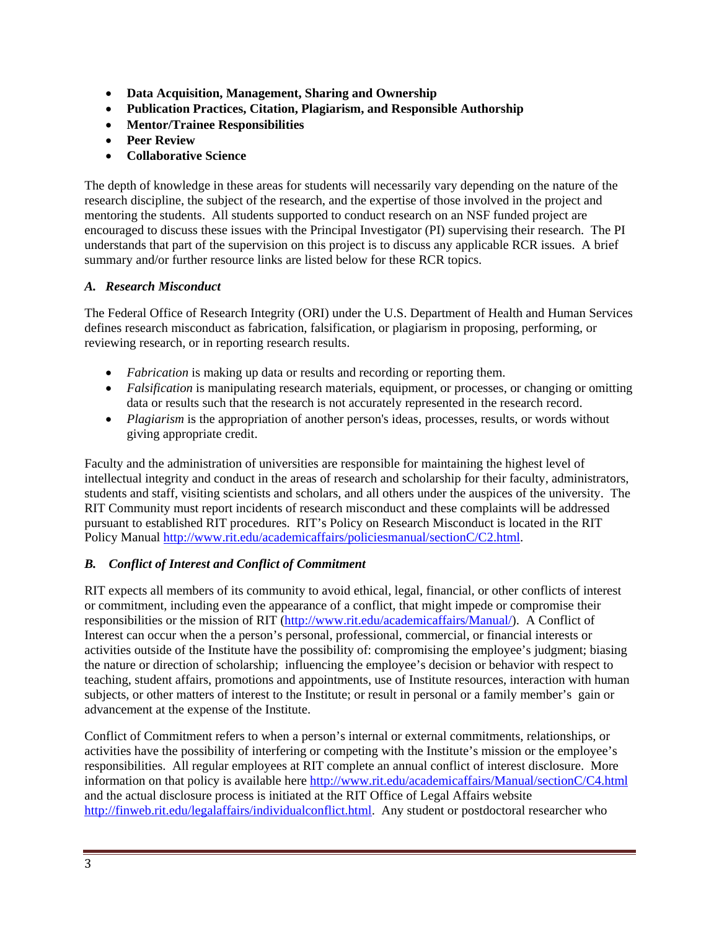- **Data Acquisition, Management, Sharing and Ownership**
- **Publication Practices, Citation, Plagiarism, and Responsible Authorship**
- **Mentor/Trainee Responsibilities**
- **Peer Review**
- **Collaborative Science**

The depth of knowledge in these areas for students will necessarily vary depending on the nature of the research discipline, the subject of the research, and the expertise of those involved in the project and mentoring the students. All students supported to conduct research on an NSF funded project are encouraged to discuss these issues with the Principal Investigator (PI) supervising their research. The PI understands that part of the supervision on this project is to discuss any applicable RCR issues. A brief summary and/or further resource links are listed below for these RCR topics.

# *A. Research Misconduct*

The Federal Office of Research Integrity (ORI) under the U.S. Department of Health and Human Services defines research misconduct as fabrication, falsification, or plagiarism in proposing, performing, or reviewing research, or in reporting research results.

- *Fabrication* is making up data or results and recording or reporting them.
- *Falsification* is manipulating research materials, equipment, or processes, or changing or omitting data or results such that the research is not accurately represented in the research record.
- *Plagiarism* is the appropriation of another person's ideas, processes, results, or words without giving appropriate credit.

Faculty and the administration of universities are responsible for maintaining the highest level of intellectual integrity and conduct in the areas of research and scholarship for their faculty, administrators, students and staff, visiting scientists and scholars, and all others under the auspices of the university. The RIT Community must report incidents of research misconduct and these complaints will be addressed pursuant to established RIT procedures. RIT's Policy on Research Misconduct is located in the RIT Policy Manual http://www.rit.edu/academicaffairs/policiesmanual/sectionC/C2.html.

# *B. Conflict of Interest and Conflict of Commitment*

RIT expects all members of its community to avoid ethical, legal, financial, or other conflicts of interest or commitment, including even the appearance of a conflict, that might impede or compromise their responsibilities or the mission of RIT (http://www.rit.edu/academicaffairs/Manual/). A Conflict of Interest can occur when the a person's personal, professional, commercial, or financial interests or activities outside of the Institute have the possibility of: compromising the employee's judgment; biasing the nature or direction of scholarship; influencing the employee's decision or behavior with respect to teaching, student affairs, promotions and appointments, use of Institute resources, interaction with human subjects, or other matters of interest to the Institute; or result in personal or a family member'sgain or advancement at the expense of the Institute.

Conflict of Commitment refers to when a person's internal or external commitments, relationships, or activities have the possibility of interfering or competing with the Institute's mission or the employee's responsibilities. All regular employees at RIT complete an annual conflict of interest disclosure. More information on that policy is available here http://www.rit.edu/academicaffairs/Manual/sectionC/C4.html and the actual disclosure process is initiated at the RIT Office of Legal Affairs website http://finweb.rit.edu/legalaffairs/individualconflict.html. Any student or postdoctoral researcher who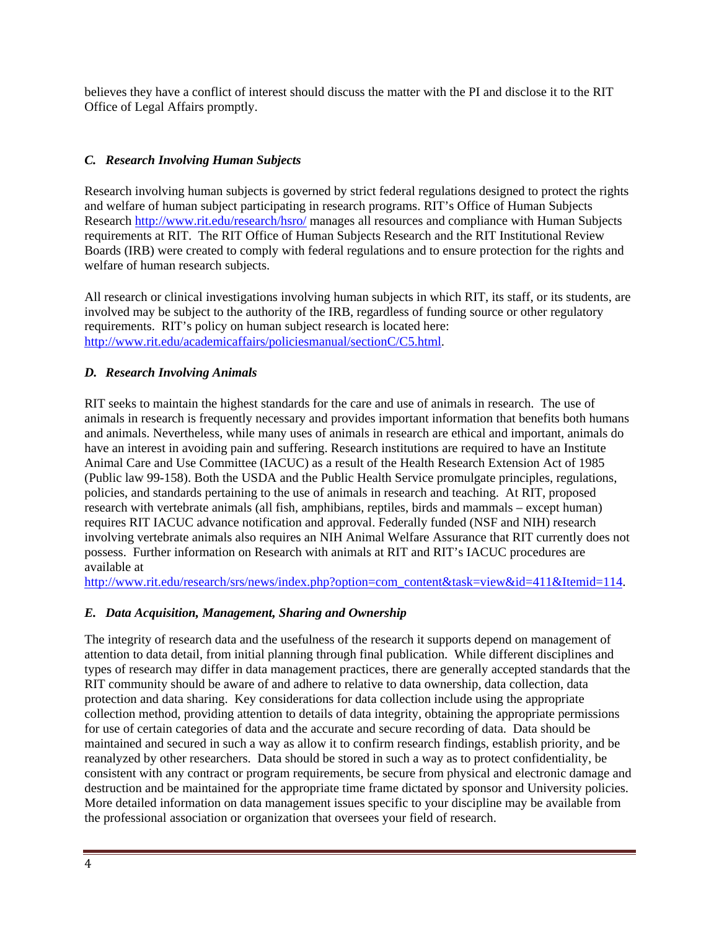believes they have a conflict of interest should discuss the matter with the PI and disclose it to the RIT Office of Legal Affairs promptly.

# *C. Research Involving Human Subjects*

Research involving human subjects is governed by strict federal regulations designed to protect the rights and welfare of human subject participating in research programs. RIT's Office of Human Subjects Research http://www.rit.edu/research/hsro/ manages all resources and compliance with Human Subjects requirements at RIT. The RIT Office of Human Subjects Research and the RIT Institutional Review Boards (IRB) were created to comply with federal regulations and to ensure protection for the rights and welfare of human research subjects.

All research or clinical investigations involving human subjects in which RIT, its staff, or its students, are involved may be subject to the authority of the IRB, regardless of funding source or other regulatory requirements. RIT's policy on human subject research is located here: http://www.rit.edu/academicaffairs/policiesmanual/sectionC/C5.html.

# *D. Research Involving Animals*

RIT seeks to maintain the highest standards for the care and use of animals in research. The use of animals in research is frequently necessary and provides important information that benefits both humans and animals. Nevertheless, while many uses of animals in research are ethical and important, animals do have an interest in avoiding pain and suffering. Research institutions are required to have an Institute Animal Care and Use Committee (IACUC) as a result of the Health Research Extension Act of 1985 (Public law 99-158). Both the USDA and the Public Health Service promulgate principles, regulations, policies, and standards pertaining to the use of animals in research and teaching. At RIT, proposed research with vertebrate animals (all fish, amphibians, reptiles, birds and mammals – except human) requires RIT IACUC advance notification and approval. Federally funded (NSF and NIH) research involving vertebrate animals also requires an NIH Animal Welfare Assurance that RIT currently does not possess. Further information on Research with animals at RIT and RIT's IACUC procedures are available at

http://www.rit.edu/research/srs/news/index.php?option=com\_content&task=view&id=411&Itemid=114.

# *E. Data Acquisition, Management, Sharing and Ownership*

The integrity of research data and the usefulness of the research it supports depend on management of attention to data detail, from initial planning through final publication. While different disciplines and types of research may differ in data management practices, there are generally accepted standards that the RIT community should be aware of and adhere to relative to data ownership, data collection, data protection and data sharing. Key considerations for data collection include using the appropriate collection method, providing attention to details of data integrity, obtaining the appropriate permissions for use of certain categories of data and the accurate and secure recording of data. Data should be maintained and secured in such a way as allow it to confirm research findings, establish priority, and be reanalyzed by other researchers. Data should be stored in such a way as to protect confidentiality, be consistent with any contract or program requirements, be secure from physical and electronic damage and destruction and be maintained for the appropriate time frame dictated by sponsor and University policies. More detailed information on data management issues specific to your discipline may be available from the professional association or organization that oversees your field of research.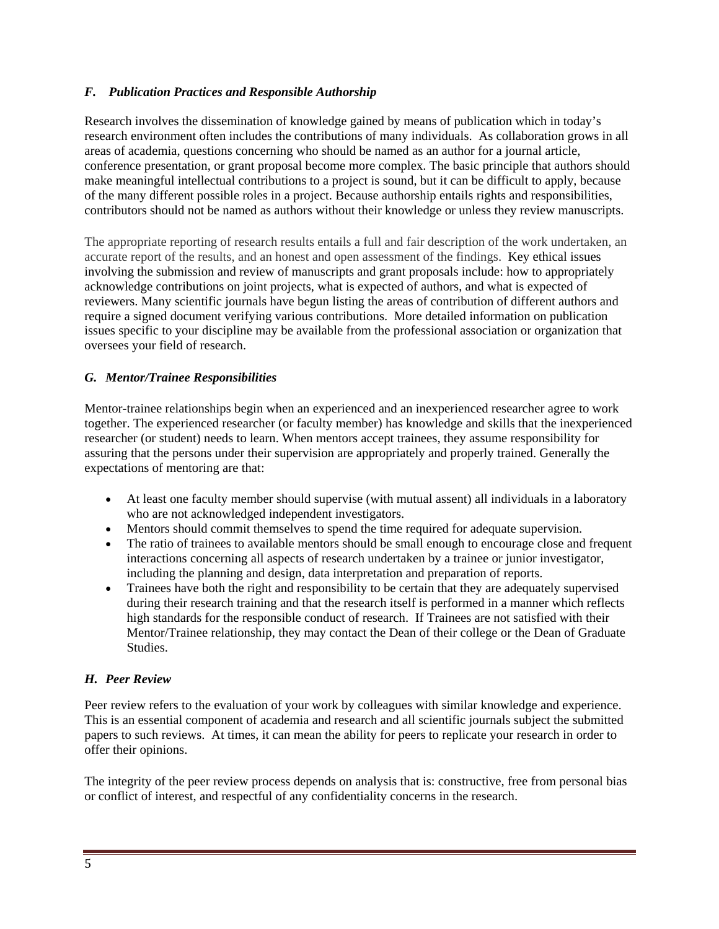# *F. Publication Practices and Responsible Authorship*

Research involves the dissemination of knowledge gained by means of publication which in today's research environment often includes the contributions of many individuals. As collaboration grows in all areas of academia, questions concerning who should be named as an author for a journal article, conference presentation, or grant proposal become more complex. The basic principle that authors should make meaningful intellectual contributions to a project is sound, but it can be difficult to apply, because of the many different possible roles in a project. Because authorship entails rights and responsibilities, contributors should not be named as authors without their knowledge or unless they review manuscripts.

The appropriate reporting of research results entails a full and fair description of the work undertaken, an accurate report of the results, and an honest and open assessment of the findings. Key ethical issues involving the submission and review of manuscripts and grant proposals include: how to appropriately acknowledge contributions on joint projects, what is expected of authors, and what is expected of reviewers. Many scientific journals have begun listing the areas of contribution of different authors and require a signed document verifying various contributions. More detailed information on publication issues specific to your discipline may be available from the professional association or organization that oversees your field of research.

# *G. Mentor/Trainee Responsibilities*

Mentor-trainee relationships begin when an experienced and an inexperienced researcher agree to work together. The experienced researcher (or faculty member) has knowledge and skills that the inexperienced researcher (or student) needs to learn. When mentors accept trainees, they assume responsibility for assuring that the persons under their supervision are appropriately and properly trained. Generally the expectations of mentoring are that:

- At least one faculty member should supervise (with mutual assent) all individuals in a laboratory who are not acknowledged independent investigators.
- Mentors should commit themselves to spend the time required for adequate supervision.
- The ratio of trainees to available mentors should be small enough to encourage close and frequent interactions concerning all aspects of research undertaken by a trainee or junior investigator, including the planning and design, data interpretation and preparation of reports.
- Trainees have both the right and responsibility to be certain that they are adequately supervised during their research training and that the research itself is performed in a manner which reflects high standards for the responsible conduct of research. If Trainees are not satisfied with their Mentor/Trainee relationship, they may contact the Dean of their college or the Dean of Graduate Studies.

# *H. Peer Review*

Peer review refers to the evaluation of your work by colleagues with similar knowledge and experience. This is an essential component of academia and research and all scientific journals subject the submitted papers to such reviews. At times, it can mean the ability for peers to replicate your research in order to offer their opinions.

The integrity of the peer review process depends on analysis that is: constructive, free from personal bias or conflict of interest, and respectful of any confidentiality concerns in the research.